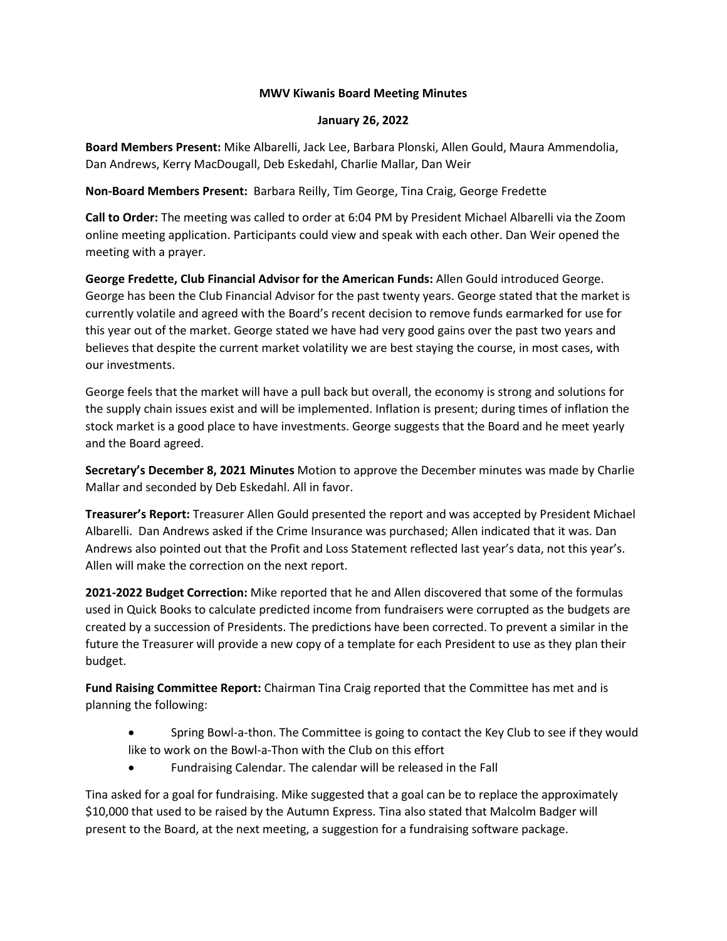## **MWV Kiwanis Board Meeting Minutes**

## **January 26, 2022**

**Board Members Present:** Mike Albarelli, Jack Lee, Barbara Plonski, Allen Gould, Maura Ammendolia, Dan Andrews, Kerry MacDougall, Deb Eskedahl, Charlie Mallar, Dan Weir

**Non-Board Members Present:** Barbara Reilly, Tim George, Tina Craig, George Fredette

**Call to Order:** The meeting was called to order at 6:04 PM by President Michael Albarelli via the Zoom online meeting application. Participants could view and speak with each other. Dan Weir opened the meeting with a prayer.

**George Fredette, Club Financial Advisor for the American Funds:** Allen Gould introduced George. George has been the Club Financial Advisor for the past twenty years. George stated that the market is currently volatile and agreed with the Board's recent decision to remove funds earmarked for use for this year out of the market. George stated we have had very good gains over the past two years and believes that despite the current market volatility we are best staying the course, in most cases, with our investments.

George feels that the market will have a pull back but overall, the economy is strong and solutions for the supply chain issues exist and will be implemented. Inflation is present; during times of inflation the stock market is a good place to have investments. George suggests that the Board and he meet yearly and the Board agreed.

**Secretary's December 8, 2021 Minutes** Motion to approve the December minutes was made by Charlie Mallar and seconded by Deb Eskedahl. All in favor.

**Treasurer's Report:** Treasurer Allen Gould presented the report and was accepted by President Michael Albarelli. Dan Andrews asked if the Crime Insurance was purchased; Allen indicated that it was. Dan Andrews also pointed out that the Profit and Loss Statement reflected last year's data, not this year's. Allen will make the correction on the next report.

**2021-2022 Budget Correction:** Mike reported that he and Allen discovered that some of the formulas used in Quick Books to calculate predicted income from fundraisers were corrupted as the budgets are created by a succession of Presidents. The predictions have been corrected. To prevent a similar in the future the Treasurer will provide a new copy of a template for each President to use as they plan their budget.

**Fund Raising Committee Report:** Chairman Tina Craig reported that the Committee has met and is planning the following:

- Spring Bowl-a-thon. The Committee is going to contact the Key Club to see if they would like to work on the Bowl-a-Thon with the Club on this effort
- Fundraising Calendar. The calendar will be released in the Fall

Tina asked for a goal for fundraising. Mike suggested that a goal can be to replace the approximately \$10,000 that used to be raised by the Autumn Express. Tina also stated that Malcolm Badger will present to the Board, at the next meeting, a suggestion for a fundraising software package.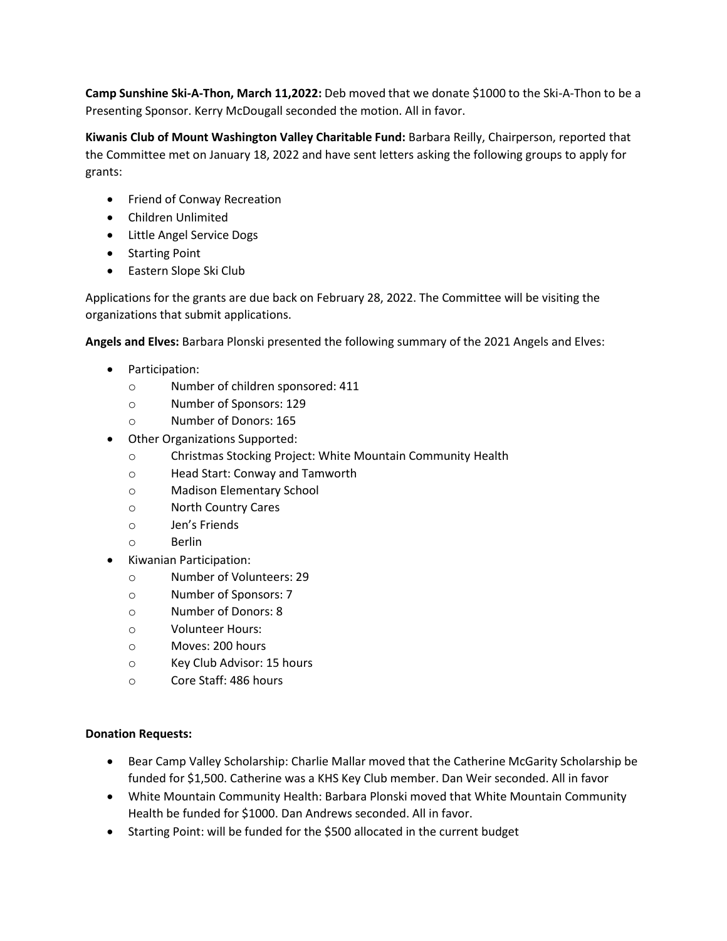**Camp Sunshine Ski-A-Thon, March 11,2022:** Deb moved that we donate \$1000 to the Ski-A-Thon to be a Presenting Sponsor. Kerry McDougall seconded the motion. All in favor.

**Kiwanis Club of Mount Washington Valley Charitable Fund:** Barbara Reilly, Chairperson, reported that the Committee met on January 18, 2022 and have sent letters asking the following groups to apply for grants:

- **•** Friend of Conway Recreation
- Children Unlimited
- Little Angel Service Dogs
- Starting Point
- Eastern Slope Ski Club

Applications for the grants are due back on February 28, 2022. The Committee will be visiting the organizations that submit applications.

**Angels and Elves:** Barbara Plonski presented the following summary of the 2021 Angels and Elves:

- Participation:
	- o Number of children sponsored: 411
	- o Number of Sponsors: 129
	- o Number of Donors: 165
- Other Organizations Supported:
	- o Christmas Stocking Project: White Mountain Community Health
	- o Head Start: Conway and Tamworth
	- o Madison Elementary School
	- o North Country Cares
	- o Jen's Friends
	- o Berlin
- Kiwanian Participation:
	- o Number of Volunteers: 29
	- o Number of Sponsors: 7
	- o Number of Donors: 8
	- o Volunteer Hours:
	- o Moves: 200 hours
	- o Key Club Advisor: 15 hours
	- o Core Staff: 486 hours

## **Donation Requests:**

- Bear Camp Valley Scholarship: Charlie Mallar moved that the Catherine McGarity Scholarship be funded for \$1,500. Catherine was a KHS Key Club member. Dan Weir seconded. All in favor
- White Mountain Community Health: Barbara Plonski moved that White Mountain Community Health be funded for \$1000. Dan Andrews seconded. All in favor.
- Starting Point: will be funded for the \$500 allocated in the current budget